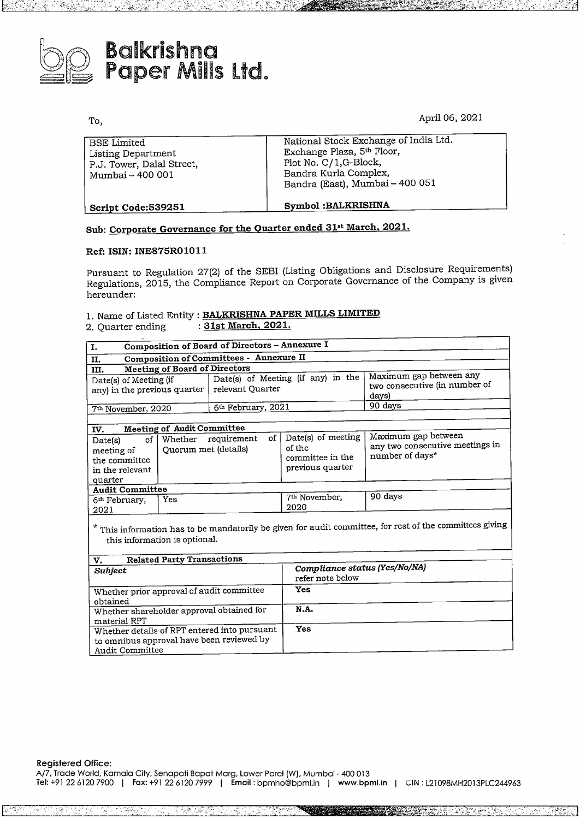

# **Balkrishna**<br>Papar <sup>Milli</sup> Paper Mills Ltd.

To,

April 06, 2021

| Listing Department<br>P.J. Tower, Dalal Street,<br>Mumbai - 400 001 | Exchange Plaza, 5th Floor,<br>Plot No. C/1, G-Block,<br>Bandra Kurla Complex,<br>Bandra (East), Mumbai - 400 051 |
|---------------------------------------------------------------------|------------------------------------------------------------------------------------------------------------------|
| Script Code:539251                                                  | <b>Symbol:BALKRISHNA</b>                                                                                         |

## **Sub: Corporate Governance for the Quarter ended 31at March, 2021.**

### **Ref: !SIN: INE875R01011**

Pursuant to Regulation 27(2) of the SEBI (Listing Obligations and Disclosure Requirements) Regulations, 2015, the Compliance Report on Corporate Governance of the Company is given hereunder:

### 1. Name of Listed Entity : **BALKRISHNA PAPER MILLS LIMITED** 2. Quarter ending : **31st March, 2021.**

| I.                                                                                                                                                                                    | Composition of Board of Directors - Annexure I |                                |                                                                      |                                                                           |  |  |  |
|---------------------------------------------------------------------------------------------------------------------------------------------------------------------------------------|------------------------------------------------|--------------------------------|----------------------------------------------------------------------|---------------------------------------------------------------------------|--|--|--|
| п.                                                                                                                                                                                    | Composition of Committees - Annexure II        |                                |                                                                      |                                                                           |  |  |  |
| ш.                                                                                                                                                                                    | <b>Meeting of Board of Directors</b>           |                                |                                                                      |                                                                           |  |  |  |
| Maximum gap between any<br>Date(s) of Meeting (if any) in the<br>Date(s) of Meeting (if<br>two consecutive (in number of<br>relevant Ouarter<br>any) in the previous quarter<br>days) |                                                |                                |                                                                      |                                                                           |  |  |  |
| 7 <sup>th</sup> November, 2020                                                                                                                                                        |                                                | 6 <sup>th</sup> February, 2021 |                                                                      | 90 days                                                                   |  |  |  |
|                                                                                                                                                                                       |                                                |                                |                                                                      |                                                                           |  |  |  |
| IV.                                                                                                                                                                                   | <b>Meeting of Audit Committee</b>              |                                |                                                                      |                                                                           |  |  |  |
| of<br>Date(s)<br>meeting of<br>the committee<br>in the relevant                                                                                                                       | Quorum met (details)                           | of<br>Whether requirement      | Date(s) of meeting<br>of the<br>committee in the<br>previous quarter | Maximum gap between<br>any two consecutive meetings in<br>number of days* |  |  |  |
| quarter<br><b>Audit Committee</b>                                                                                                                                                     |                                                |                                |                                                                      |                                                                           |  |  |  |
| 6 <sup>th</sup> February,<br>2021                                                                                                                                                     | Yes                                            |                                | 7 <sup>th</sup> November,<br>2020                                    | 90 days                                                                   |  |  |  |

\* This information has to be mandatorily be given for audit committee, for rest of the committees giving this information is optional.

| <b>Related Party Transactions</b><br>v.                                                                                      |                                                   |
|------------------------------------------------------------------------------------------------------------------------------|---------------------------------------------------|
| <b>Subject</b>                                                                                                               | Compliance status (Yes/No/NA)<br>refer note below |
| Whether prior approval of audit committee                                                                                    | Yes                                               |
| obtained<br>Whether shareholder approval obtained for                                                                        | N.A.                                              |
| material RPT<br>Whether details of RPT entered into pursuant<br>to omnibus approval have been reviewed by<br>Audit Committee | Yes                                               |

**Registered Office:** A/7, Trade World, Kamala City, Senapati Bapat Marg, Lower Parel (W), Mumbai - <sup>400</sup> <sup>013</sup> **Tel:** +91226120 <sup>7900</sup> <sup>I</sup> **Fax:** +91226120 <sup>7999</sup> <sup>I</sup> **Email:** bpmho@bpml.in <sup>I</sup> **www.bpml.in** <sup>I</sup> CIN: L21098MH2013PLC244963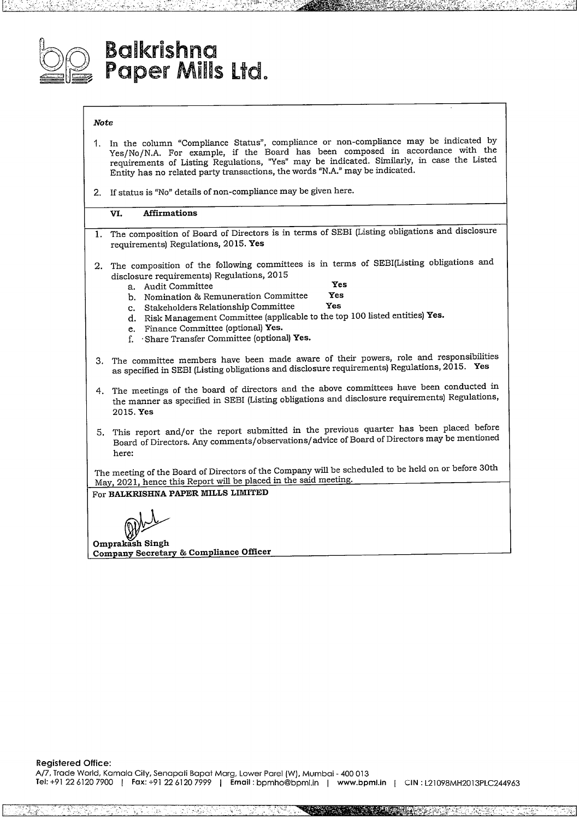

## **Balkrishna Paper Mils Lid.**

### *Note*

- **1.** In the column "Compliance Status", compliance or non-compliance may be indicated by Yes/No/N.A. For example, if the Board has been composed in accordance with the requirements of Listing Regulations, "Yes" may be indicated. Similarly, in case the Listed Entity has no related party transactions, the words "N.A." may be indicated.
- 2. If status is "No" details of non-compliance may be given here.

### **VI. Affirmations**

- **1.** The composition of Board of Directors is in terms of SEBI (Listing obligations and disclosure requirements) Regulations, 2015. **Yes**
- 2. The composition of the following committees is in terms of SEBI(Listing obligations and disclosure requirements) Regulations, 2015
	-

- a. Audit Committee **Yes** b. Nomination & Remuneration Committee **Yes**
- c. Stakeholders Relationship Committee
- d. Risk ManagementCommittee (applicable to the top 100 listed entities) **Yes.**
- e. Finance Committee (optional) **Yes.**
- f. · Share Transfer Committee (optional) **Yes.**
- 3. The committee members have been made aware of their powers, role and responsibilities as specified in SEBI (Listing obligations and disclosure requirements) Regulations, 2015. **Yes**
- 4. The meetings of the board of directors and the above committees have been conducted in the manner as specified in SEBI (Listing obligations and disclosure requirements) Regulations, 2015. **Yes**
- 5. This report and/or the report submitted in the previous quarter has been placed before<br>
Board of Directors. Any comments/observations/advice of Board of Directors may be mentioned<br>
here:<br>
The meeting of the Board of Dir Board of Directors. Any comments/observations/advice of Board of Directors may be mentioned here:

The meeting of the Board of Directors of the Company will be scheduled to be held on or before 30th Mav, 2021, hence this Report will be placed in the said meeting.

### For **BALKRISHNA PAPER MILLS LIMITED**

**Companv Secretary Compliance Officer**

**Registered Office:**

AT7, Trade World, Kamala City, Senapati Bapat Marg, Lower Parel [W), Mumbai - <sup>400</sup> <sup>013</sup> **Tel:** +91 <sup>22</sup> 6120 <sup>7900</sup> <sup>I</sup> **Fox:** +91226120 <sup>7999</sup> <sup>I</sup> **Email:** bpmho@bpml.in <sup>I</sup> **www.bpml.in** <sup>I</sup> CIN: L21098MH2013PLC244963

L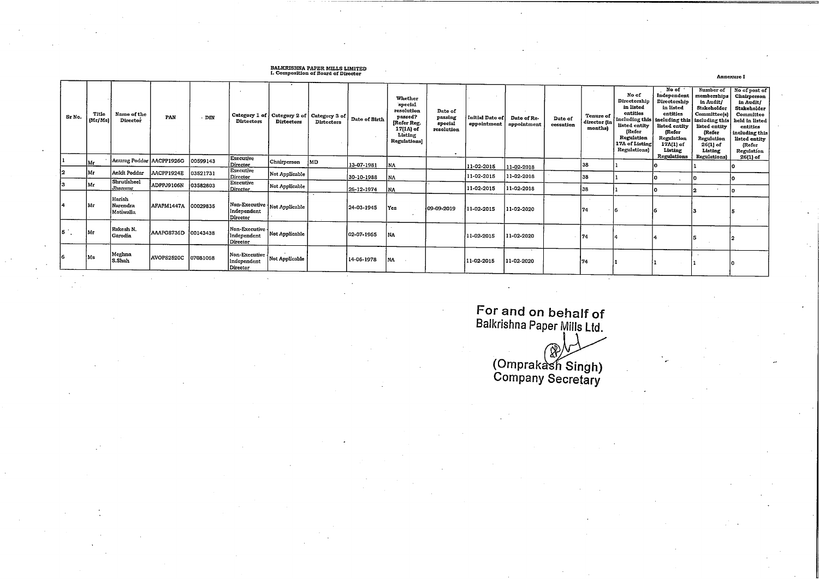## BALKRISHNA PAPER MILLS LIMITED<br>I. Composition of Board of Director

| Sr No.        | Title<br>(Mr/Ms) | Name of the<br>Director         | PAN                 | $.$ DIN  | <b>Dirtectors</b>                                                                                                         | Category 1 of   Category 2 of   Category 3 of  <br>Dirtectors | <b>Dirtectors</b> | Date of Birth | Whether<br>special<br>resolution<br>passed?<br>[Refer Reg.<br>17(1A) of<br>Listing<br>Regulations] | Date of<br>passing<br>special<br>resolution | Initial Date of<br>appointment | Date of Re-<br>appointment | Date of<br>cessation | <b>Tenure of</b><br>director (in<br>months) | No of<br>Directorship<br>in listed<br>entities<br>listed entity<br>(Refer<br>Regulation<br>17A of Listing<br>Regulations) | No of<br>Independent<br>Directorship<br>in listed<br>entities<br>including this   including this   including this   held in listed<br>listed entity<br>(Refer<br>Regulation<br>17A(1) of<br>Listing<br>Regulations | Number of<br>memborships<br>in Audit/<br>Stakeholder<br>Committee(s)<br>listed entity<br>(Refer<br>Regulation<br>26(1) of<br>Listing | No of post of<br>Chairperson<br>in Audit/<br>Stakeholder<br>Committee<br>entities<br>including this<br>listed entity<br>(Refer<br>Regulation |
|---------------|------------------|---------------------------------|---------------------|----------|---------------------------------------------------------------------------------------------------------------------------|---------------------------------------------------------------|-------------------|---------------|----------------------------------------------------------------------------------------------------|---------------------------------------------|--------------------------------|----------------------------|----------------------|---------------------------------------------|---------------------------------------------------------------------------------------------------------------------------|--------------------------------------------------------------------------------------------------------------------------------------------------------------------------------------------------------------------|--------------------------------------------------------------------------------------------------------------------------------------|----------------------------------------------------------------------------------------------------------------------------------------------|
|               | Mr               | Anurag Poddar   AACPP1926G      |                     | 00599143 | Executive<br>Director                                                                                                     | Chairperson                                                   | IMD.              | 13-07-1981    | INA.                                                                                               |                                             | 11-02-2015                     | 11-02-2018                 |                      | 38                                          |                                                                                                                           |                                                                                                                                                                                                                    | <b>Regulations</b> )                                                                                                                 | 26(1) of                                                                                                                                     |
|               | lMr.             | Ankit Poddar                    | AACPP1924E          | 03521731 | <b>Executive</b><br>Director                                                                                              | Not Applicable                                                |                   | 30-10-1988    | INA.                                                                                               |                                             | 11-02-2015                     | 11-02-2018                 |                      | 38                                          |                                                                                                                           |                                                                                                                                                                                                                    |                                                                                                                                      |                                                                                                                                              |
|               | IMr.             | Shrutisheel<br>Jhanwar          | ADPPJ9106N          | 03582803 | Executive<br>Director                                                                                                     | Not Applicable                                                |                   | 26-12-1974    | <b>INA</b>                                                                                         |                                             | 11-02-2015                     | 11-02-2018                 |                      | 138                                         |                                                                                                                           |                                                                                                                                                                                                                    |                                                                                                                                      |                                                                                                                                              |
|               | Mr               | Harish<br>Narendra<br>Motiwalla | AFAPM1447A 00029835 |          | Non-Executive Not Applicable<br>Independent<br>Director                                                                   |                                                               |                   | 24-03-1945    | Yes                                                                                                | 09-09-2019                                  | 11-02-2015                     | 11-02-2020                 |                      | 174                                         |                                                                                                                           |                                                                                                                                                                                                                    |                                                                                                                                      |                                                                                                                                              |
| $5^{\circ}$ . | Mr               | Rakesh N.<br>Garodia            | AAAPG8736D 00143438 |          | Non-Executive -<br>Independent<br>Director                                                                                | Not Applicable                                                |                   | 02-07-1965    | NA                                                                                                 |                                             | 11-02-2015                     | 11-02-2020                 |                      | 174                                         |                                                                                                                           |                                                                                                                                                                                                                    |                                                                                                                                      |                                                                                                                                              |
| 6             | Ms               | Meghna<br>S.Shah                | AVOPS2520C          | 07081068 | $\begin{array}{ l } \hline \textbf{Non-Execute} & \textbf{Not Applied I}\\ \hline \end{array}$<br>Independent<br>Director |                                                               |                   | 14-06-1978    | NA .                                                                                               |                                             | 11-02-2015                     | 11-02-2020                 |                      |                                             |                                                                                                                           |                                                                                                                                                                                                                    |                                                                                                                                      |                                                                                                                                              |

For and on behalf of Balkrishna Paper Mills Ltd.

( C O o m m p p r a a n k y SecretaryProblemant<br>
per Mills Ltd.<br>
ash Singh)<br>
secretary

Annexuro I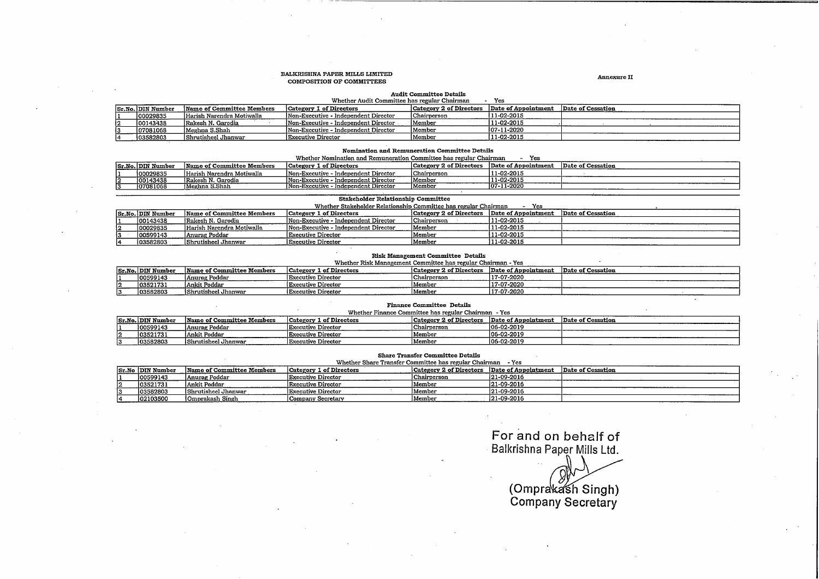#### BALKRISHNA PAPER MILLS LIMITED COMPOSITION OF COMMITTEES

#### Annexure II

## Audit Committee Details Whether Audit Committee hasregular Chairman - **Yes**

| Sr.No. DIN Number | Name of Committee Members | Category 1 of Directors              | <b>Category 2 of Directors</b> | Date of Appointment | Date of Cessation |
|-------------------|---------------------------|--------------------------------------|--------------------------------|---------------------|-------------------|
| 00029835          | Harish Narendra Motiwalla | Non-Executive - Independent Director | Chairperson                    | 11-02-2015          |                   |
| 00143438          | Rakesh N. Garodia         | Non-Executive - Independent Director | Member                         | 11-02-2015          |                   |
| 07081068          | Meghna S.Shah             | Non-Executive - Independent Director | Member                         | 107-11-2020         |                   |
| 03582803          | Shrutisheel Jhanwar       | Executive Director                   | Member                         | 11-02-2015          |                   |

#### Nomination and Remuneration Committee Details

| Whether Nomination and Remuneration Committee has regular Chairman |  | Yes |
|--------------------------------------------------------------------|--|-----|
|                                                                    |  |     |

|                   |                           |                                              |                                | -------------<br>--- |                   |
|-------------------|---------------------------|----------------------------------------------|--------------------------------|----------------------|-------------------|
| Sr.No. DIN Number | Name of Committee Members | L of Directors<br> Category I                | <b>Category 2 of Directors</b> | Date of Appointment  | Date of Cessation |
| 100029835         | Harish Narendra Motiwalla | Independent Director<br>Non-Executive        | Chairperson                    | 11-02-2015           |                   |
| 100143438         | lRakesh N. Garodia        | - Independent Director<br>Non-Executive      | Member                         | 11-02-2015           |                   |
| 07081068          | IMeghna S.Shah            | Independent Director<br><b>Non-Executive</b> | Member                         | 07-11-2020           |                   |
|                   |                           |                                              |                                |                      |                   |

### **Stakeholder Relationship Committee**

|    |                                                                                                                                                      |                           | Whether Stakeholder Relationship Committee has regular Chairman |                    | Yes         |  |  |  |
|----|------------------------------------------------------------------------------------------------------------------------------------------------------|---------------------------|-----------------------------------------------------------------|--------------------|-------------|--|--|--|
|    | Category 2 of Directors Date of Appointment<br>Sr.No. DIN Number<br>Date of Cessation<br><b>Category 1 of Directors</b><br>Name of Committee Members |                           |                                                                 |                    |             |  |  |  |
|    | 00143438                                                                                                                                             | Rakesh N. Garodia         | Non-Executive - Independent Director                            | <b>Chairperson</b> | 11-02-2015  |  |  |  |
| 12 | 00029835                                                                                                                                             | Harish Narendra Motiwalla | Non-Executive - Independent Director                            | Member             | 11-02-2015  |  |  |  |
|    | 00599143                                                                                                                                             | Anurag Poddar             | Executive Director                                              | Member             | 11-02-2015  |  |  |  |
|    | 103582803                                                                                                                                            | Shrutisheel Jhanwar       | Executive Director                                              | Member             | 111-02-2015 |  |  |  |

|    | Risk Management Committee Details |                           |                                                              |                                             |             |                   |  |
|----|-----------------------------------|---------------------------|--------------------------------------------------------------|---------------------------------------------|-------------|-------------------|--|
|    |                                   |                           | Whether Risk Management Committee has regular Chairman - Yes |                                             |             |                   |  |
|    | <b>Sr.No. DIN Number</b>          | Name of Committee Members | Category 1 of Directors                                      | Category 2 of Directors Date of Appointment |             | Date of Cessation |  |
|    | 100599143                         | Anurag Poddar             | Executive Director                                           | l Chairperson                               | 117-07-2020 |                   |  |
| 12 | 103521731                         | Ankit Poddar              | Executive Director                                           | lMember                                     | 117-07-2020 |                   |  |
|    | 103582803                         | İShrutisheel Jhanwar      | Executive Director                                           | Member                                      | 117-07-2020 |                   |  |

#### Finance Committee Details

|    | Whether Finance Committee has regular Chairman - Yes                                                                                                    |                     |                           |             |                |      |  |  |
|----|---------------------------------------------------------------------------------------------------------------------------------------------------------|---------------------|---------------------------|-------------|----------------|------|--|--|
|    | Category 2 of Directors<br>Date of Cessation<br>Category 1 of Directors<br>Date of Appointment<br><b>Sr.No. DIN Number</b><br>Name of Committee Members |                     |                           |             |                |      |  |  |
|    | 00599143                                                                                                                                                | Anurag Poddar       | Executive Director        | Chairperson | $ 06-02-2019 $ |      |  |  |
| l2 | 03521731                                                                                                                                                | Ankit Poddar        | <b>Executive Director</b> | Member      | 106-02-2019    |      |  |  |
|    | 03582803                                                                                                                                                | Shrutisheel Jhanwar | Executive Director        | Member      | 106-02-2019    | ____ |  |  |

| <b>Share Transfer Committee Details</b><br>Whether Share Transfer Committee has regular Chairman - Yes |                           |                           |                         |                     |                   |  |
|--------------------------------------------------------------------------------------------------------|---------------------------|---------------------------|-------------------------|---------------------|-------------------|--|
| Sr.No  DIN Number                                                                                      | Name of Committee Members | Category 1 of Directors   | Category 2 of Directors | Date of Appointment | Date of Cessation |  |
| 100599143                                                                                              | <b>Anurag Poddar</b>      | Executive Director        | Chairperson             | 21-09-2016          |                   |  |
| 103521731                                                                                              | Ankit Poddar              | <b>Executive Director</b> | Member                  | 121-09-2016         |                   |  |
| 03582803                                                                                               | Shrutisheel Jhanwar       | Executive Director        | Member                  | 21-09-2016          |                   |  |
| 102103500                                                                                              | Omprakash Singh           | Company Secretary         | Member                  | 21-09-2016          |                   |  |

## For and on behalf of Balkrishna Paper Mills Ltd .

*#A*r and on behalf of<br>
rishna Paper Mills Ltd.<br>
(Omprakash Singh)<br>
Company Secretary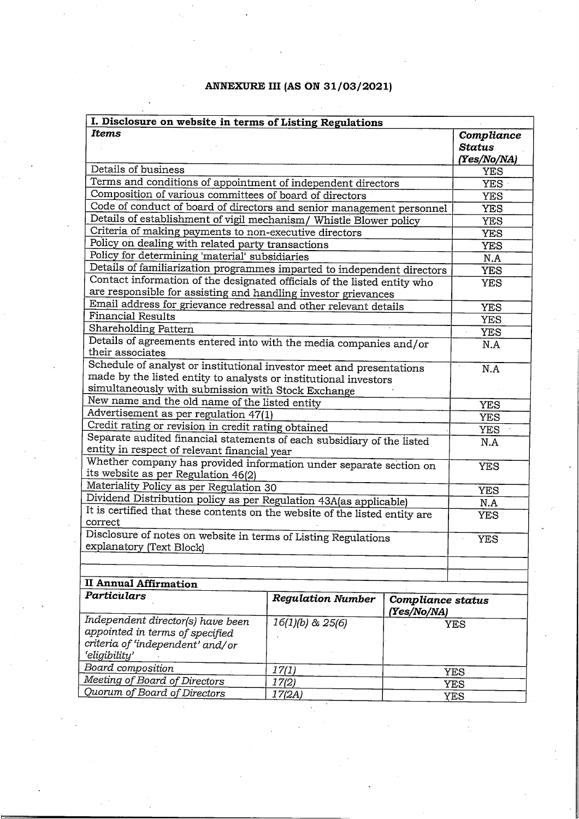## **ANNEXURE III (AS ON 31/03/2021)**

| I. Disclosure on website in terms of Listing Regulations                                                                                                                                       |                          |                                  |                                     |
|------------------------------------------------------------------------------------------------------------------------------------------------------------------------------------------------|--------------------------|----------------------------------|-------------------------------------|
| <b>Items</b>                                                                                                                                                                                   |                          |                                  | Compliance<br>Status<br>(Yes/No/NA) |
| Details of business                                                                                                                                                                            |                          |                                  | YES                                 |
| Terms and conditions of appointment of independent directors                                                                                                                                   |                          |                                  | YES ·                               |
| Composition of various committees of board of directors                                                                                                                                        |                          |                                  | <b>YES</b>                          |
| Code of conduct of board of directors and senior management personnel                                                                                                                          |                          |                                  | <b>YES</b>                          |
| Details of establishment of vigil mechanism/ Whistle Blower policy                                                                                                                             |                          |                                  | <b>YES</b>                          |
| Criteria of making payments to non-executive directors                                                                                                                                         |                          |                                  | <b>YES</b>                          |
| Policy on dealing with related party transactions                                                                                                                                              |                          |                                  | <b>YES</b>                          |
| Policy for determining 'material' subsidiaries                                                                                                                                                 |                          |                                  | N.A                                 |
| Details of familiarization programmes imparted to independent directors                                                                                                                        |                          |                                  | <b>YES</b>                          |
| Contact information of the designated officials of the listed entity who<br>are responsible for assisting and handling investor grievances                                                     |                          |                                  | <b>YES</b>                          |
| Email address for grievance redressal and other relevant details                                                                                                                               |                          |                                  | <b>YES</b>                          |
| <b>Financial Results</b>                                                                                                                                                                       |                          |                                  | <b>YES</b>                          |
| Shareholding Pattern                                                                                                                                                                           |                          |                                  | <b>YES</b>                          |
| Details of agreements entered into with the media companies and/or<br>their associates                                                                                                         |                          |                                  | N.A                                 |
| Schedule of analyst or institutional investor meet and presentations<br>made by the listed entity to analysts or institutional investors<br>simultaneously with submission with Stock Exchange |                          |                                  | N.A                                 |
| New name and the old name of the listed entity                                                                                                                                                 |                          |                                  | <b>YES</b>                          |
| Advertisement as per regulation 47(1)                                                                                                                                                          |                          |                                  | <b>YES</b>                          |
| Credit rating or revision in credit rating obtained                                                                                                                                            |                          |                                  | YES                                 |
| Separate audited financial statements of each subsidiary of the listed<br>entity in respect of relevant financial year                                                                         |                          |                                  | N.A                                 |
| Whether company has provided information under separate section on<br>its website as per Regulation 46(2)                                                                                      |                          |                                  | <b>YES</b>                          |
| Materiality Policy as per Regulation 30                                                                                                                                                        |                          |                                  | <b>YES</b>                          |
| Dividend Distribution policy as per Regulation 43A(as applicable)                                                                                                                              |                          |                                  | N.A                                 |
| It is certified that these contents on the website of the listed entity are<br>correct                                                                                                         |                          |                                  | <b>YES</b>                          |
| Disclosure of notes on website in terms of Listing Regulations<br>explanatory (Text Block)                                                                                                     |                          |                                  | <b>YES</b>                          |
| <b>II Annual Affirmation</b>                                                                                                                                                                   |                          |                                  |                                     |
| Particulars                                                                                                                                                                                    | <b>Regulation Number</b> | Compliance status<br>(Yes/No/NA) |                                     |
| Independent director(s) have been<br>appointed in terms of specified                                                                                                                           | $16(1)(b)$ & $25(6)$     |                                  | YES                                 |

| Independent director(s) have been<br>appointed in terms of specified<br>criteria of 'independent' and/or<br>'eligibility' | $16(1)(b)$ & $25(6)$ | YES  |
|---------------------------------------------------------------------------------------------------------------------------|----------------------|------|
| Board composition                                                                                                         | 17(1)                | YES  |
| Meeting of Board of Directors                                                                                             | 17(2)                | YES. |
| Quorum of Board of Directors                                                                                              | 17(2A)               | YES  |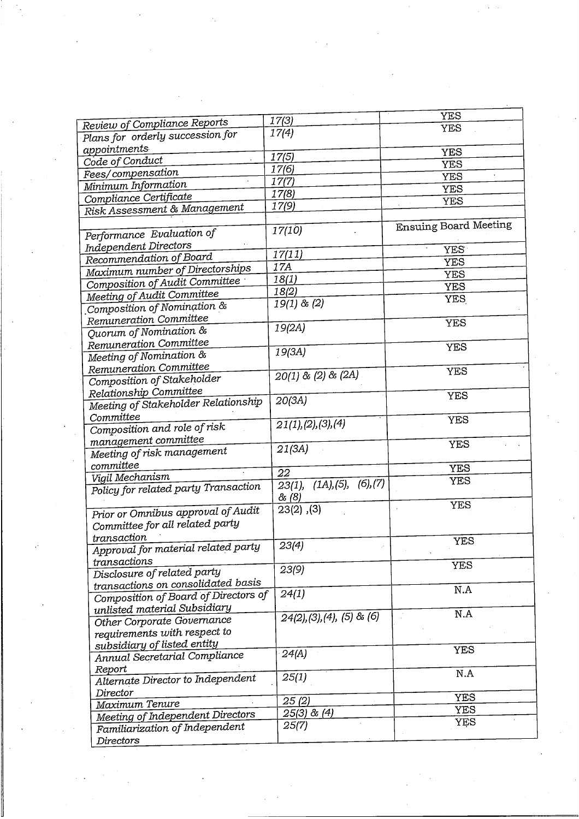|                                      |                                          | <b>YES</b>                   |
|--------------------------------------|------------------------------------------|------------------------------|
| Review of Compliance Reports         | 17(3)<br>17(4)                           | <b>YES</b>                   |
| Plans for orderly succession for     |                                          |                              |
| appointments                         | 17(5)                                    | <b>YES</b>                   |
| Code of Conduct                      | 17(6)                                    | <b>YES</b>                   |
| Fees/compensation                    |                                          | <b>YES</b>                   |
| Minimum Information                  | 17(7)                                    | <b>YES</b>                   |
| Compliance Certificate               | 17(8)                                    | <b>YES</b>                   |
| Risk Assessment & Management         | 17(9)                                    |                              |
|                                      |                                          | <b>Ensuing Board Meeting</b> |
| Performance Evaluation of            | 17(10)                                   |                              |
| Independent Directors                |                                          | <b>YES</b>                   |
| Recommendation of Board              | 17(11)                                   | <b>YES</b>                   |
| Maximum number of Directorships      | 17A                                      | <b>YES</b>                   |
| Composition of Audit Committee       | 18(1)                                    | <b>YES</b>                   |
| Meeting of Audit Committee           | 18(2)                                    | <b>YES</b>                   |
| Composition of Nomination &          | $19(1)$ & $(2)$                          |                              |
| Remuneration Committee               |                                          | <b>YES</b>                   |
| Quorum of Nomination &               | 19(2A)                                   |                              |
| Remuneration Committee               |                                          | <b>YES</b>                   |
| Meeting of Nomination &              | 19(3A)                                   |                              |
| Remuneration Committee               |                                          | <b>YES</b>                   |
| Composition of Stakeholder           | $20(1)$ & (2) & (2A)                     |                              |
| Relationship Committee               |                                          | <b>YES</b>                   |
| Meeting of Stakeholder Relationship  | 20(3A)                                   |                              |
| Committee                            |                                          | <b>YES</b>                   |
| Composition and role of risk         | 21(1), (2), (3), (4)                     |                              |
| management committee                 |                                          | <b>YES</b>                   |
| Meeting of risk management           | 21(3A)                                   |                              |
| committee                            |                                          | <b>YES</b>                   |
| Vigil Mechanism                      | 22                                       |                              |
| Policy for related party Transaction | $23(1)$ , $(1A)$ , $(5)$ , $(6)$ , $(7)$ | <b>YES</b>                   |
|                                      | & (8)                                    |                              |
| Prior or Omnibus approval of Audit   | $23(2)$ , $(3)$                          | <b>YES</b>                   |
| Committee for all related party      |                                          |                              |
| transaction                          |                                          |                              |
| Approval for material related party  | $\sqrt{23(4)}$                           | YES                          |
| transactions                         |                                          |                              |
| Disclosure of related party          | 23(9)                                    | <b>YES</b>                   |
| transactions on consolidated basis   |                                          |                              |
| Composition of Board of Directors of | 24(1)                                    | N.A                          |
| unlisted material Subsidiary         |                                          |                              |
| Other Corporate Governance           | $\overline{24(2)}$ , (3), (4), (5) & (6) | N.A                          |
| requirements with respect to         |                                          |                              |
| subsidiary of listed entity          |                                          |                              |
| Annual Secretarial Compliance        | 24(A)                                    | <b>YES</b>                   |
| Report                               |                                          |                              |
| Alternate Director to Independent    | 25(1)                                    | N.A                          |
| Director                             |                                          |                              |
| Maximum Tenure                       | 25(2)                                    | <b>YES</b>                   |
| Meeting of Independent Directors     | $25(3)$ & $(4)$                          | <b>YES</b>                   |
| Familiarization of Independent       | 25(7)                                    | <b>YES</b>                   |
| Directors                            |                                          |                              |
|                                      |                                          |                              |

 $\label{eq:2} \frac{1}{2} \int_{\mathbb{R}^3} \frac{1}{\sqrt{2}} \, \frac{d\mathcal{L}}{d\mathcal{L}} \, \frac{d\mathcal{L}}{d\mathcal{L}} \, \frac{d\mathcal{L}}{d\mathcal{L}} \, \frac{d\mathcal{L}}{d\mathcal{L}} \, \frac{d\mathcal{L}}{d\mathcal{L}} \, \frac{d\mathcal{L}}{d\mathcal{L}} \, \frac{d\mathcal{L}}{d\mathcal{L}} \, \frac{d\mathcal{L}}{d\mathcal{L}} \, \frac{d\mathcal{L}}{d\mathcal{L}} \, \frac$ 

 $\frac{1}{\sqrt{2}}$